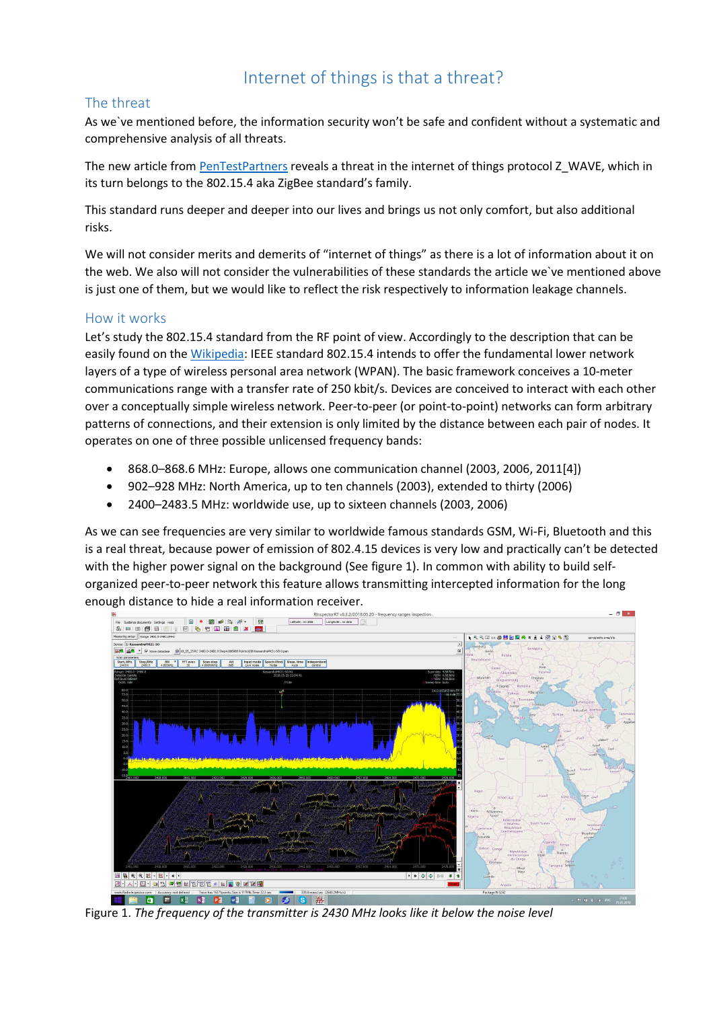# Internet of things is that a threat?

## The threat

As we`ve mentioned before, the information security won't be safe and confident without a systematic and comprehensive analysis of all threats.

The new article from PenTestPartners reveals a threat in the internet of things protocol Z\_WAVE, which in its turn belongs to the 802.15.4 aka ZigBee standard's family.

This standard runs deeper and deeper into our lives and brings us not only comfort, but also additional risks.

We will not consider merits and demerits of "internet of things" as there is a lot of information about it on the web. We also will not consider the vulnerabilities of these standards the article we`ve mentioned above is just one of them, but we would like to reflect the risk respectively to information leakage channels.

#### How it works

Let's study the 802.15.4 standard from the RF point of view. Accordingly to the description that can be easily found on the Wikipedia: IEEE standard 802.15.4 intends to offer the fundamental lower network layers of a type of wireless personal area network (WPAN). The basic framework conceives a 10-meter communications range with a transfer rate of 250 kbit/s. Devices are conceived to interact with each other over a conceptually simple wireless network. Peer-to-peer (or point-to-point) networks can form arbitrary patterns of connections, and their extension is only limited by the distance between each pair of nodes. It operates on one of three possible unlicensed frequency bands:

- 868.0–868.6 MHz: Europe, allows one communication channel (2003, 2006, 2011[4])
- 902–928 MHz: North America, up to ten channels (2003), extended to thirty (2006)
- 2400–2483.5 MHz: worldwide use, up to sixteen channels (2003, 2006)

As we can see frequencies are very similar to worldwide famous standards GSM, Wi-Fi, Bluetooth and this is a real threat, because power of emission of 802.4.15 devices is very low and practically can't be detected with the higher power signal on the background (See figure 1). In common with ability to build selforganized peer-to-peer network this feature allows transmitting intercepted information for the long enough distance to hide a real information receiver.



Figure 1. The frequency of the transmitter is 2430 MHz looks like it below the noise level